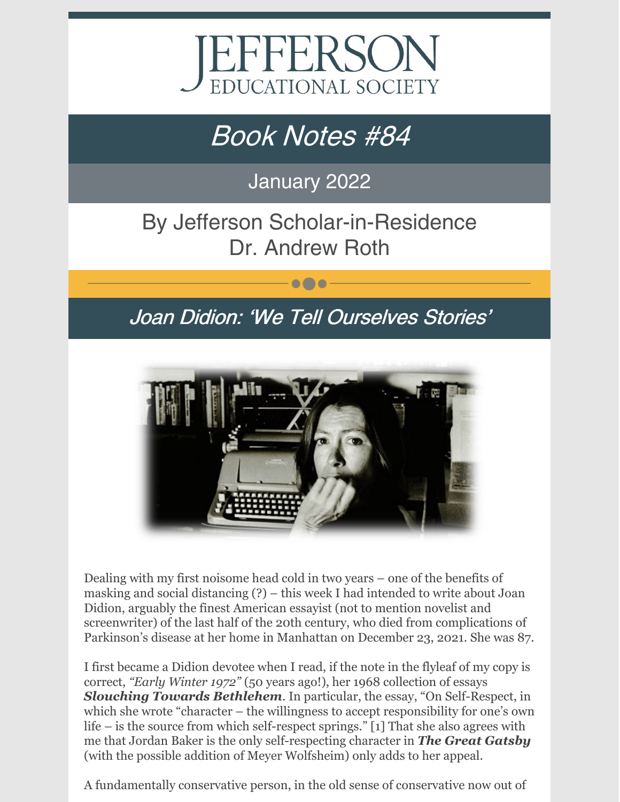

# Book Notes #84

January 2022

## By Jefferson Scholar-in-Residence Dr. Andrew Roth

### Joan Didion: 'We Tell Ourselves Stories'

 $\bullet\bullet\bullet$ 



Dealing with my first noisome head cold in two years – one of the benefits of masking and social distancing (?) – this week I had intended to write about Joan Didion, arguably the finest American essayist (not to mention novelist and screenwriter) of the last half of the 20th century, who died from complications of Parkinson's disease at her home in Manhattan on December 23, 2021. She was 87.

I first became a Didion devotee when I read, if the note in the flyleaf of my copy is correct, *"Early Winter 1972"* (50 years ago!), her 1968 collection of essays *Slouching Towards Bethlehem*. In particular, the essay, "On Self-Respect, in which she wrote "character – the willingness to accept responsibility for one's own life – is the source from which self-respect springs." [1] That she also agrees with me that Jordan Baker is the only self-respecting character in *The Great Gatsby* (with the possible addition of Meyer Wolfsheim) only adds to her appeal.

A fundamentally conservative person, in the old sense of conservative now out of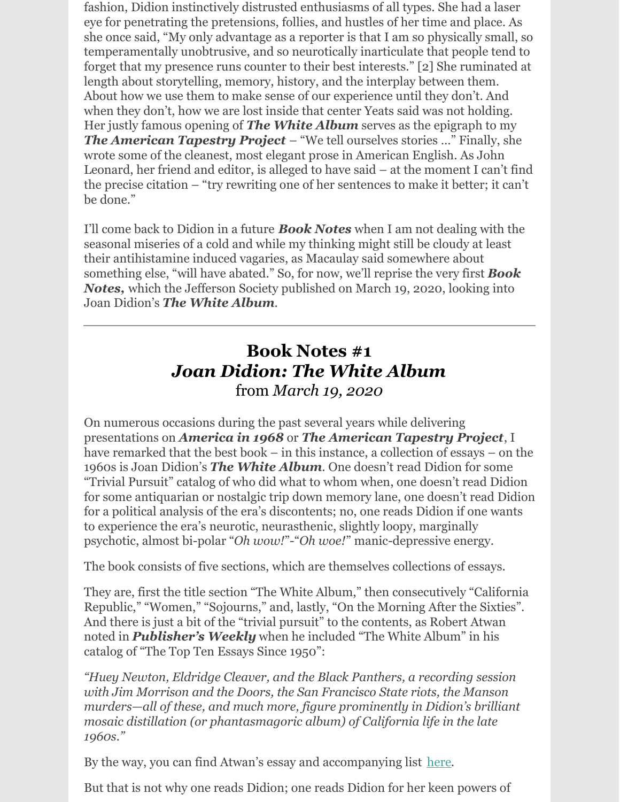fashion, Didion instinctively distrusted enthusiasms of all types. She had a laser eye for penetrating the pretensions, follies, and hustles of her time and place. As she once said, "My only advantage as a reporter is that I am so physically small, so temperamentally unobtrusive, and so neurotically inarticulate that people tend to forget that my presence runs counter to their best interests." [2] She ruminated at length about storytelling, memory, history, and the interplay between them. About how we use them to make sense of our experience until they don't. And when they don't, how we are lost inside that center Yeats said was not holding. Her justly famous opening of *The White Album* serves as the epigraph to my *The American Tapestry Project* – "We tell ourselves stories …" Finally, she wrote some of the cleanest, most elegant prose in American English. As John Leonard, her friend and editor, is alleged to have said – at the moment I can't find the precise citation – "try rewriting one of her sentences to make it better; it can't be done."

I'll come back to Didion in a future *Book Notes* when I am not dealing with the seasonal miseries of a cold and while my thinking might still be cloudy at least their antihistamine induced vagaries, as Macaulay said somewhere about something else, "will have abated." So, for now, we'll reprise the very first *Book Notes,* which the Jefferson Society published on March 19, 2020, looking into Joan Didion's *The White Album*.

### **Book Notes #1** *Joan Didion: The White Album* from *March 19, 2020*

On numerous occasions during the past several years while delivering presentations on *America in 1968* or *The American Tapestry Project*, I have remarked that the best book – in this instance, a collection of essays – on the 1960s is Joan Didion's *The White Album*. One doesn't read Didion for some "Trivial Pursuit" catalog of who did what to whom when, one doesn't read Didion for some antiquarian or nostalgic trip down memory lane, one doesn't read Didion for a political analysis of the era's discontents; no, one reads Didion if one wants to experience the era's neurotic, neurasthenic, slightly loopy, marginally psychotic, almost bi-polar "*Oh wow!*"-"*Oh woe!*" manic-depressive energy.

The book consists of five sections, which are themselves collections of essays.

They are, first the title section "The White Album," then consecutively "California Republic," "Women," "Sojourns," and, lastly, "On the Morning After the Sixties". And there is just a bit of the "trivial pursuit" to the contents, as Robert Atwan noted in *Publisher's Weekly* when he included "The White Album" in his catalog of "The Top Ten Essays Since 1950":

*"Huey Newton, Eldridge Cleaver, and the Black Panthers, a recording session with Jim Morrison and the Doors, the San Francisco State riots, the Manson murders—all of these, and much more, figure prominently in Didion's brilliant mosaic distillation (or phantasmagoric album) of California life in the late 1960s."*

By the way, you can find Atwan's essay and accompanying list [here](https://www.publishersweekly.com/pw/by-topic/industry-news/tip-sheet/article/54337-the-top-10-essays-since-1950.html).

But that is not why one reads Didion; one reads Didion for her keen powers of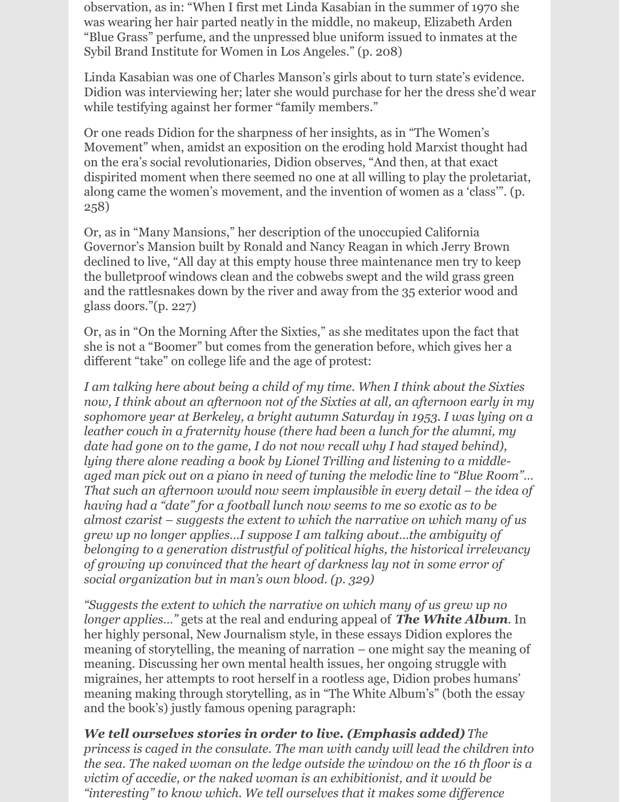observation, as in: "When I first met Linda Kasabian in the summer of 1970 she was wearing her hair parted neatly in the middle, no makeup, Elizabeth Arden "Blue Grass" perfume, and the unpressed blue uniform issued to inmates at the Sybil Brand Institute for Women in Los Angeles." (p. 208)

Linda Kasabian was one of Charles Manson's girls about to turn state's evidence. Didion was interviewing her; later she would purchase for her the dress she'd wear while testifying against her former "family members."

Or one reads Didion for the sharpness of her insights, as in "The Women's Movement" when, amidst an exposition on the eroding hold Marxist thought had on the era's social revolutionaries, Didion observes, "And then, at that exact dispirited moment when there seemed no one at all willing to play the proletariat, along came the women's movement, and the invention of women as a 'class'". (p. 258)

Or, as in "Many Mansions," her description of the unoccupied California Governor's Mansion built by Ronald and Nancy Reagan in which Jerry Brown declined to live, "All day at this empty house three maintenance men try to keep the bulletproof windows clean and the cobwebs swept and the wild grass green and the rattlesnakes down by the river and away from the 35 exterior wood and glass doors."(p. 227)

Or, as in "On the Morning After the Sixties," as she meditates upon the fact that she is not a "Boomer" but comes from the generation before, which gives her a different "take" on college life and the age of protest:

*I am talking here about being a child of my time. When I think about the Sixties now, I think about an afternoon not of the Sixties at all, an afternoon early in my sophomore year at Berkeley, a bright autumn Saturday in 1953. I was lying on a leather couch in a fraternity house (there had been a lunch for the alumni, my date had gone on to the game, I do not now recall why I had stayed behind), lying there alone reading a book by Lionel Trilling and listening to a middleaged man pick out on a piano in need of tuning the melodic line to "Blue Room"… That such an afternoon would now seem implausible in every detail – the idea of having had a "date" for a football lunch now seems to me so exotic as to be almost czarist – suggests the extent to which the narrative on which many of us grew up no longer applies…I suppose I am talking about…the ambiguity of belonging to a generation distrustful of political highs, the historical irrelevancy of growing up convinced that the heart of darkness lay not in some error of social organization but in man's own blood. (p. 329)*

*"Suggests the extent to which the narrative on which many of us grew up no longer applies…"* gets at the real and enduring appeal of *The White Album*. In her highly personal, New Journalism style, in these essays Didion explores the meaning of storytelling, the meaning of narration – one might say the meaning of meaning. Discussing her own mental health issues, her ongoing struggle with migraines, her attempts to root herself in a rootless age, Didion probes humans' meaning making through storytelling, as in "The White Album's" (both the essay and the book's) justly famous opening paragraph:

*We tell ourselves stories in order to live. (Emphasis added) The princess is caged in the consulate. The man with candy will lead the children into the sea. The naked woman on the ledge outside the window on the 16 th floor is a victim of accedie, or the naked woman is an exhibitionist, and it would be "interesting" to know which. We tell ourselves that it makes some dif erence*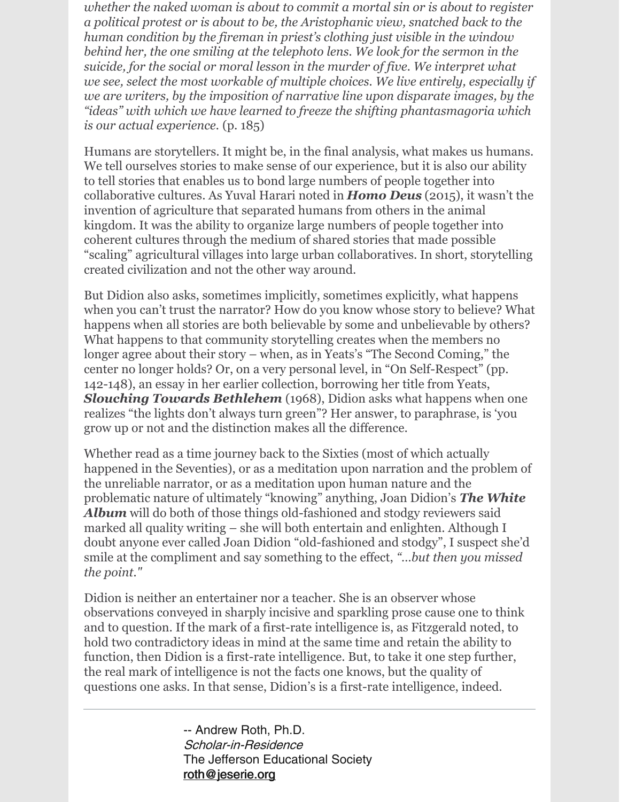*whether the naked woman is about to commit a mortal sin or is about to register a political protest or is about to be, the Aristophanic view, snatched back to the human condition by the fireman in priest's clothing just visible in the window behind her, the one smiling at the telephoto lens. We look for the sermon in the suicide, for the social or moral lesson in the murder of five. We interpret what we see, select the most workable of multiple choices. We live entirely, especially if we are writers, by the imposition of narrative line upon disparate images, by the "ideas" with which we have learned to freeze the shifting phantasmagoria which is our actual experience.* (p. 185)

Humans are storytellers. It might be, in the final analysis, what makes us humans. We tell ourselves stories to make sense of our experience, but it is also our ability to tell stories that enables us to bond large numbers of people together into collaborative cultures. As Yuval Harari noted in *Homo Deus* (2015), it wasn't the invention of agriculture that separated humans from others in the animal kingdom. It was the ability to organize large numbers of people together into coherent cultures through the medium of shared stories that made possible "scaling" agricultural villages into large urban collaboratives. In short, storytelling created civilization and not the other way around.

But Didion also asks, sometimes implicitly, sometimes explicitly, what happens when you can't trust the narrator? How do you know whose story to believe? What happens when all stories are both believable by some and unbelievable by others? What happens to that community storytelling creates when the members no longer agree about their story – when, as in Yeats's "The Second Coming," the center no longer holds? Or, on a very personal level, in "On Self-Respect" (pp. 142-148), an essay in her earlier collection, borrowing her title from Yeats, *Slouching Towards Bethlehem* (1968), Didion asks what happens when one realizes "the lights don't always turn green"? Her answer, to paraphrase, is 'you grow up or not and the distinction makes all the difference.

Whether read as a time journey back to the Sixties (most of which actually happened in the Seventies), or as a meditation upon narration and the problem of the unreliable narrator, or as a meditation upon human nature and the problematic nature of ultimately "knowing" anything, Joan Didion's *The White* Album will do both of those things old-fashioned and stodgy reviewers said marked all quality writing – she will both entertain and enlighten. Although I doubt anyone ever called Joan Didion "old-fashioned and stodgy", I suspect she'd smile at the compliment and say something to the effect, *"…but then you missed the point."*

Didion is neither an entertainer nor a teacher. She is an observer whose observations conveyed in sharply incisive and sparkling prose cause one to think and to question. If the mark of a first-rate intelligence is, as Fitzgerald noted, to hold two contradictory ideas in mind at the same time and retain the ability to function, then Didion is a first-rate intelligence. But, to take it one step further, the real mark of intelligence is not the facts one knows, but the quality of questions one asks. In that sense, Didion's is a first-rate intelligence, indeed.

> -- Andrew Roth, Ph.D. Scholar-in-Residence The Jefferson Educational Society [roth@jeserie.org](mailto:roth@jeserie.org)